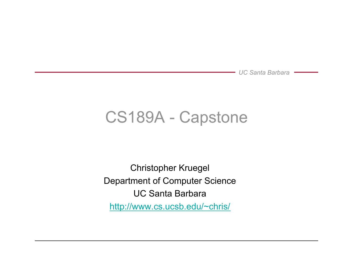## CS189A - Capstone

Christopher Kruegel Department of Computer Science UC Santa Barbara http://www.cs.ucsb.edu/~chris/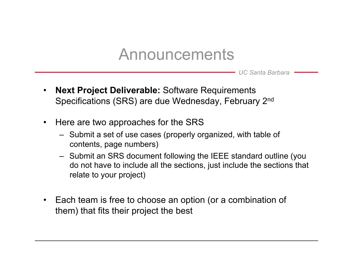### Announcements

- **Next Project Deliverable:** Software Requirements Specifications (SRS) are due Wednesday, February 2nd
- Here are two approaches for the SRS
	- Submit a set of use cases (properly organized, with table of contents, page numbers)
	- Submit an SRS document following the IEEE standard outline (you do not have to include all the sections, just include the sections that relate to your project)
- Each team is free to choose an option (or a combination of them) that fits their project the best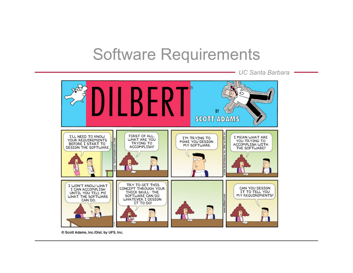### Software Requirements

*UC Santa Barbara* 



© Scott Adams, Inc./Dist. by UFS, Inc.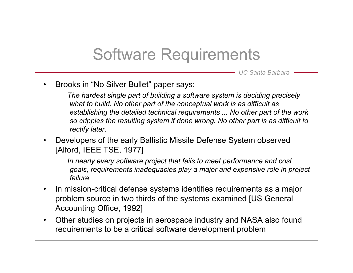## Software Requirements

*UC Santa Barbara* 

• Brooks in "No Silver Bullet" paper says:

 *The hardest single part of building a software system is deciding precisely what to build. No other part of the conceptual work is as difficult as establishing the detailed technical requirements ... No other part of the work so cripples the resulting system if done wrong. No other part is as difficult to rectify later.* 

• Developers of the early Ballistic Missile Defense System observed [Alford, IEEE TSE, 1977]

 *In nearly every software project that fails to meet performance and cost goals, requirements inadequacies play a major and expensive role in project failure* 

- In mission-critical defense systems identifies requirements as a major problem source in two thirds of the systems examined [US General Accounting Office, 1992]
- Other studies on projects in aerospace industry and NASA also found requirements to be a critical software development problem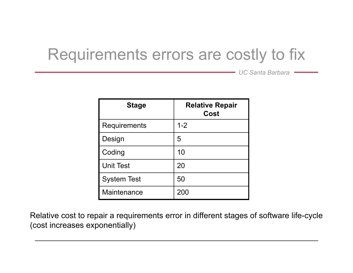# Requirements errors are costly to fix

*UC Santa Barbara* 

| <b>Stage</b>        | <b>Relative Repair</b><br><b>Cost</b> |
|---------------------|---------------------------------------|
| <b>Requirements</b> | $1 - 2$                               |
| Design              | 5                                     |
| Coding              | 10                                    |
| <b>Unit Test</b>    | 20                                    |
| <b>System Test</b>  | 50                                    |
| Maintenance         | 200                                   |

Relative cost to repair a requirements error in different stages of software life-cycle (cost increases exponentially)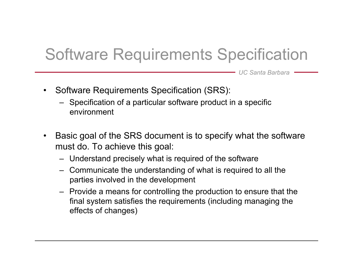# Software Requirements Specification

- Software Requirements Specification (SRS):
	- Specification of a particular software product in a specific environment
- Basic goal of the SRS document is to specify what the software must do. To achieve this goal:
	- Understand precisely what is required of the software
	- Communicate the understanding of what is required to all the parties involved in the development
	- Provide a means for controlling the production to ensure that the final system satisfies the requirements (including managing the effects of changes)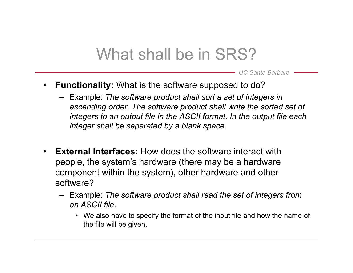## What shall be in SRS?

- **Functionality:** What is the software supposed to do?
	- Example: *The software product shall sort a set of integers in ascending order. The software product shall write the sorted set of integers to an output file in the ASCII format. In the output file each integer shall be separated by a blank space.*
- **External Interfaces:** How does the software interact with people, the system's hardware (there may be a hardware component within the system), other hardware and other software?
	- Example: *The software product shall read the set of integers from an ASCII file.*
		- We also have to specify the format of the input file and how the name of the file will be given.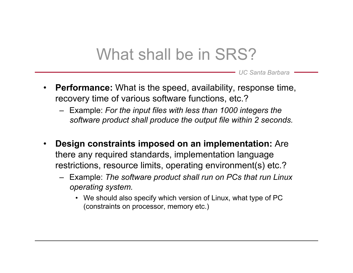## What shall be in SRS?

- **Performance:** What is the speed, availability, response time, recovery time of various software functions, etc.?
	- Example: *For the input files with less than 1000 integers the software product shall produce the output file within 2 seconds.*
- **Design constraints imposed on an implementation:** Are there any required standards, implementation language restrictions, resource limits, operating environment(s) etc.?
	- Example: *The software product shall run on PCs that run Linux operating system.* 
		- We should also specify which version of Linux, what type of PC (constraints on processor, memory etc.)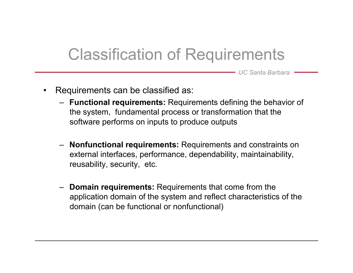## Classification of Requirements

- Requirements can be classified as:
	- **Functional requirements:** Requirements defining the behavior of the system, fundamental process or transformation that the software performs on inputs to produce outputs
	- **Nonfunctional requirements:** Requirements and constraints on external interfaces, performance, dependability, maintainability, reusability, security, etc.
	- **Domain requirements:** Requirements that come from the application domain of the system and reflect characteristics of the domain (can be functional or nonfunctional)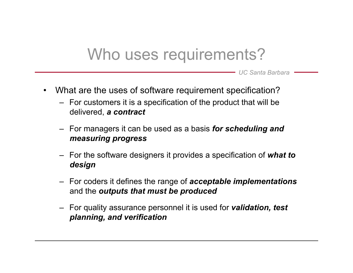## Who uses requirements?

- What are the uses of software requirement specification?
	- For customers it is a specification of the product that will be delivered, *a contract*
	- For managers it can be used as a basis *for scheduling and measuring progress*
	- For the software designers it provides a specification of *what to design*
	- For coders it defines the range of *acceptable implementations* and the *outputs that must be produced*
	- For quality assurance personnel it is used for *validation, test planning, and verification*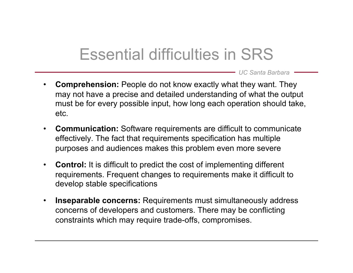# Essential difficulties in SRS

- **Comprehension:** People do not know exactly what they want. They may not have a precise and detailed understanding of what the output must be for every possible input, how long each operation should take, etc.
- **Communication:** Software requirements are difficult to communicate effectively. The fact that requirements specification has multiple purposes and audiences makes this problem even more severe
- **Control:** It is difficult to predict the cost of implementing different requirements. Frequent changes to requirements make it difficult to develop stable specifications
- **Inseparable concerns:** Requirements must simultaneously address concerns of developers and customers. There may be conflicting constraints which may require trade-offs, compromises.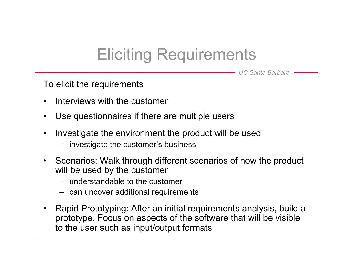# Eliciting Requirements

*UC Santa Barbara* 

To elicit the requirements

- Interviews with the customer
- Use questionnaires if there are multiple users
- Investigate the environment the product will be used
	- investigate the customer's business
- Scenarios: Walk through different scenarios of how the product will be used by the customer
	- understandable to the customer
	- can uncover additional requirements
- Rapid Prototyping: After an initial requirements analysis, build a prototype. Focus on aspects of the software that will be visible to the user such as input/output formats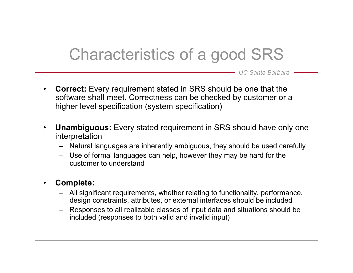# Characteristics of a good SRS

- **Correct:** Every requirement stated in SRS should be one that the software shall meet. Correctness can be checked by customer or a higher level specification (system specification)
- **Unambiguous:** Every stated requirement in SRS should have only one interpretation
	- Natural languages are inherently ambiguous, they should be used carefully
	- Use of formal languages can help, however they may be hard for the customer to understand
- **Complete:** 
	- All significant requirements, whether relating to functionality, performance, design constraints, attributes, or external interfaces should be included
	- Responses to all realizable classes of input data and situations should be included (responses to both valid and invalid input)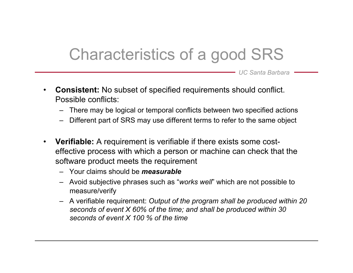# Characteristics of a good SRS

- **Consistent:** No subset of specified requirements should conflict. Possible conflicts:
	- There may be logical or temporal conflicts between two specified actions
	- Different part of SRS may use different terms to refer to the same object
- **Verifiable:** A requirement is verifiable if there exists some costeffective process with which a person or machine can check that the software product meets the requirement
	- Your claims should be *measurable*
	- Avoid subjective phrases such as "*works well*" which are not possible to measure/verify
	- A verifiable requirement: *Output of the program shall be produced within 20 seconds of event X 60% of the time; and shall be produced within 30 seconds of event X 100 % of the time*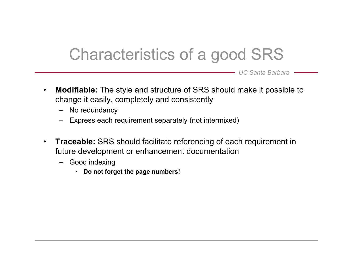# Characteristics of a good SRS

- **Modifiable:** The style and structure of SRS should make it possible to change it easily, completely and consistently
	- No redundancy
	- Express each requirement separately (not intermixed)
- **Traceable:** SRS should facilitate referencing of each requirement in future development or enhancement documentation
	- Good indexing
		- **Do not forget the page numbers!**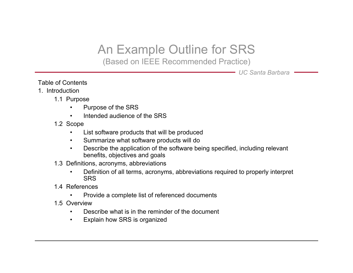### An Example Outline for SRS

(Based on IEEE Recommended Practice)

- Table of Contents
- 1. Introduction
	- 1.1 Purpose
		- Purpose of the SRS
		- Intended audience of the SRS
	- 1.2 Scope
		- List software products that will be produced
		- Summarize what software products will do
		- Describe the application of the software being specified, including relevant benefits, objectives and goals
	- 1.3 Definitions, acronyms, abbreviations
		- Definition of all terms, acronyms, abbreviations required to properly interpret **SRS**
	- 1.4 References
		- Provide a complete list of referenced documents
	- 1.5 Overview
		- Describe what is in the reminder of the document
		- Explain how SRS is organized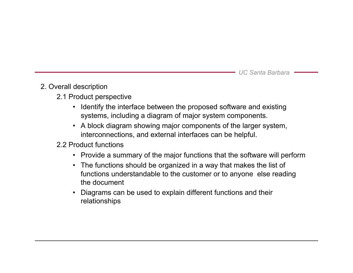#### 2. Overall description

- 2.1 Product perspective
	- Identify the interface between the proposed software and existing systems, including a diagram of major system components.
	- A block diagram showing major components of the larger system, interconnections, and external interfaces can be helpful.

#### 2.2 Product functions

- Provide a summary of the major functions that the software will perform
- The functions should be organized in a way that makes the list of functions understandable to the customer or to anyone else reading the document
- Diagrams can be used to explain different functions and their relationships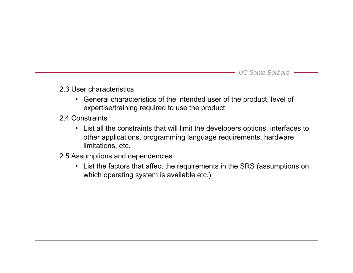#### 2.3 User characteristics

- General characteristics of the intended user of the product, level of expertise/training required to use the product
- 2.4 Constraints
	- List all the constraints that will limit the developers options, interfaces to other applications, programming language requirements, hardware limitations, etc.
- 2.5 Assumptions and dependencies
	- List the factors that affect the requirements in the SRS (assumptions on which operating system is available etc.)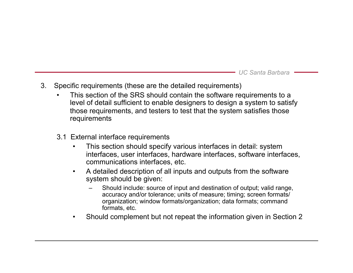- 3. Specific requirements (these are the detailed requirements)
	- This section of the SRS should contain the software requirements to a level of detail sufficient to enable designers to design a system to satisfy those requirements, and testers to test that the system satisfies those requirements
	- 3.1 External interface requirements
		- This section should specify various interfaces in detail: system interfaces, user interfaces, hardware interfaces, software interfaces, communications interfaces, etc.
		- A detailed description of all inputs and outputs from the software system should be given:
			- Should include: source of input and destination of output; valid range, accuracy and/or tolerance; units of measure; timing; screen formats/ organization; window formats/organization; data formats; command formats, etc.
		- Should complement but not repeat the information given in Section 2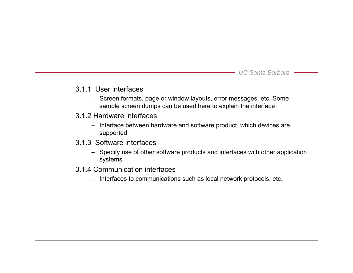#### 3.1.1 User interfaces

- Screen formats, page or window layouts, error messages, etc. Some sample screen dumps can be used here to explain the interface
- 3.1.2 Hardware interfaces
	- Interface between hardware and software product, which devices are supported
- 3.1.3 Software interfaces
	- Specify use of other software products and interfaces with other application systems
- 3.1.4 Communication interfaces
	- Interfaces to communications such as local network protocols, etc.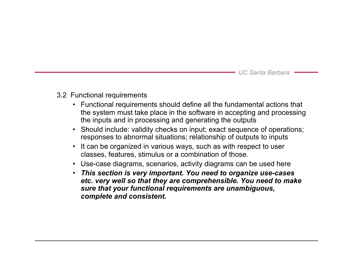#### 3.2 Functional requirements

- Functional requirements should define all the fundamental actions that the system must take place in the software in accepting and processing the inputs and in processing and generating the outputs
- Should include: validity checks on input; exact sequence of operations; responses to abnormal situations; relationship of outputs to inputs
- It can be organized in various ways, such as with respect to user classes, features, stimulus or a combination of those.
- Use-case diagrams, scenarios, activity diagrams can be used here
- *This section is very important. You need to organize use-cases etc. very well so that they are comprehensible. You need to make sure that your functional requirements are unambiguous, complete and consistent.*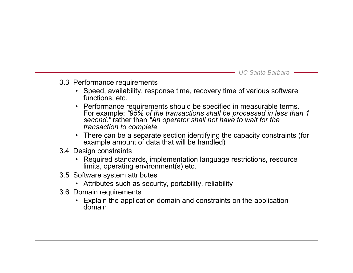- 3.3 Performance requirements
	- Speed, availability, response time, recovery time of various software functions, etc.
	- Performance requirements should be specified in measurable terms. For example: *"95% of the transactions shall be processed in less than 1 second."* rather than *"An operator shall not have to wait for the transaction to complete*
	- There can be a separate section identifying the capacity constraints (for example amount of data that will be handled)
- 3.4 Design constraints
	- Required standards, implementation language restrictions, resource limits, operating environment(s) etc.
- 3.5 Software system attributes
	- Attributes such as security, portability, reliability
- 3.6 Domain requirements
	- Explain the application domain and constraints on the application domain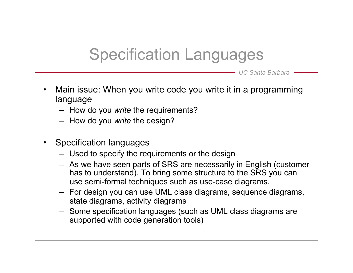# Specification Languages

- Main issue: When you write code you write it in a programming language
	- How do you *write* the requirements?
	- How do you *write* the design?
- Specification languages
	- Used to specify the requirements or the design
	- As we have seen parts of SRS are necessarily in English (customer has to understand). To bring some structure to the SRS you can use semi-formal techniques such as use-case diagrams.
	- For design you can use UML class diagrams, sequence diagrams, state diagrams, activity diagrams
	- Some specification languages (such as UML class diagrams are supported with code generation tools)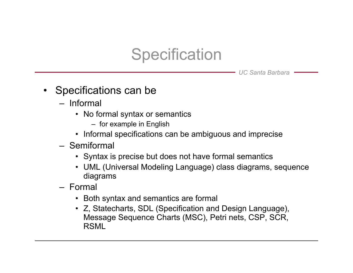# **Specification**

- Specifications can be
	- Informal
		- No formal syntax or semantics
			- for example in English
		- Informal specifications can be ambiguous and imprecise
	- Semiformal
		- Syntax is precise but does not have formal semantics
		- UML (Universal Modeling Language) class diagrams, sequence diagrams
	- Formal
		- Both syntax and semantics are formal
		- Z, Statecharts, SDL (Specification and Design Language), Message Sequence Charts (MSC), Petri nets, CSP, SCR, RSML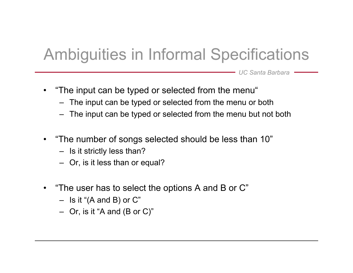# Ambiguities in Informal Specifications

- "The input can be typed or selected from the menu"
	- The input can be typed or selected from the menu or both
	- The input can be typed or selected from the menu but not both
- "The number of songs selected should be less than 10"
	- Is it strictly less than?
	- Or, is it less than or equal?
- "The user has to select the options A and B or C"
	- $-$  Is it "(A and B) or C"
	- $-$  Or, is it "A and (B or C)"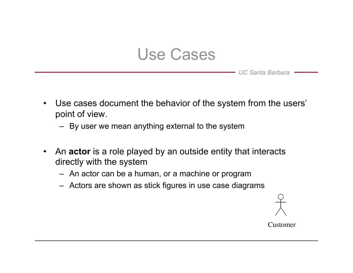### Use Cases

*UC Santa Barbara* 

- Use cases document the behavior of the system from the users' point of view.
	- By user we mean anything external to the system
- An **actor** is a role played by an outside entity that interacts directly with the system
	- An actor can be a human, or a machine or program
	- Actors are shown as stick figures in use case diagrams

Customer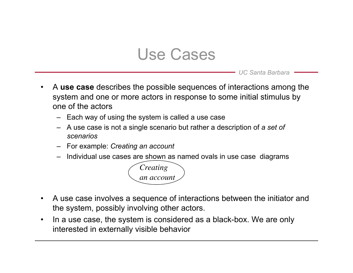### Use Cases

- A **use case** describes the possible sequences of interactions among the system and one or more actors in response to some initial stimulus by one of the actors
	- Each way of using the system is called a use case
	- A use case is not a single scenario but rather a description of *a set of scenarios*
	- For example: *Creating an account*
	- Individual use cases are shown as named ovals in use case diagrams



- A use case involves a sequence of interactions between the initiator and the system, possibly involving other actors.
- In a use case, the system is considered as a black-box. We are only interested in externally visible behavior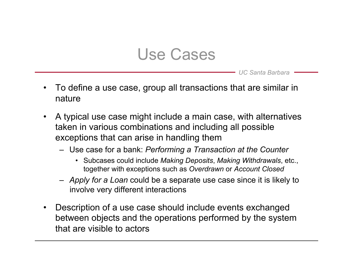### Use Cases

- To define a use case, group all transactions that are similar in nature
- A typical use case might include a main case, with alternatives taken in various combinations and including all possible exceptions that can arise in handling them
	- Use case for a bank: *Performing a Transaction at the Counter*
		- Subcases could include *Making Deposits*, *Making Withdrawals*, etc., together with exceptions such as *Overdrawn* or *Account Closed*
	- *Apply for a Loan* could be a separate use case since it is likely to involve very different interactions
- Description of a use case should include events exchanged between objects and the operations performed by the system that are visible to actors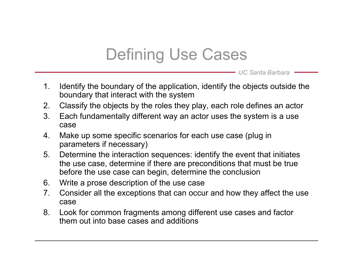# Defining Use Cases

- 1. Identify the boundary of the application, identify the objects outside the boundary that interact with the system
- 2. Classify the objects by the roles they play, each role defines an actor
- 3. Each fundamentally different way an actor uses the system is a use case
- 4. Make up some specific scenarios for each use case (plug in parameters if necessary)
- 5. Determine the interaction sequences: identify the event that initiates the use case, determine if there are preconditions that must be true before the use case can begin, determine the conclusion
- 6. Write a prose description of the use case
- 7. Consider all the exceptions that can occur and how they affect the use case
- 8. Look for common fragments among different use cases and factor them out into base cases and additions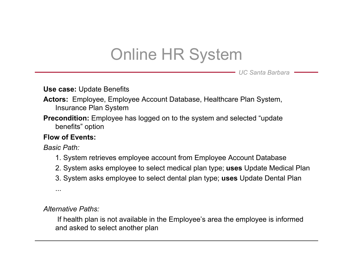# Online HR System

*UC Santa Barbara* 

**Use case:** Update Benefits

- **Actors:** Employee, Employee Account Database, Healthcare Plan System, Insurance Plan System
- **Precondition:** Employee has logged on to the system and selected "update" benefits" option

#### **Flow of Events:**

*Basic Path:* 

- 1. System retrieves employee account from Employee Account Database
- 2. System asks employee to select medical plan type; **uses** Update Medical Plan
- 3. System asks employee to select dental plan type; **uses** Update Dental Plan

...

*Alternative Paths:* 

If health plan is not available in the Employee's area the employee is informed and asked to select another plan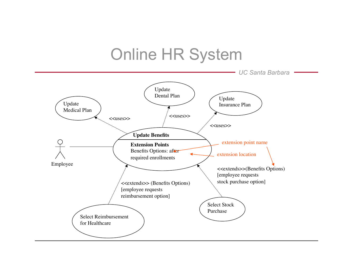#### *UC Santa Barbara*  Online HR System Update Medical Plan Update Dental Plan **Update Benefits** <<uses>> <<extends>>(Benefits Options) [employee requests stock purchase option] <<uses>> Employee Update Insurance Plan Select Stock Purchase Select Reimbursement for Healthcare <<uses>> <<extends>> (Benefits Options) [employee requests reimbursement option] **Extension Points** Benefits Options: after required enrollments extension point name extension location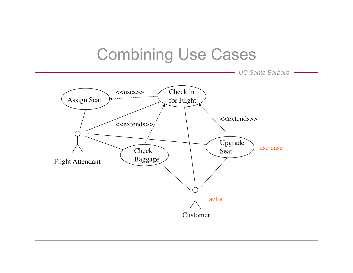## Combining Use Cases